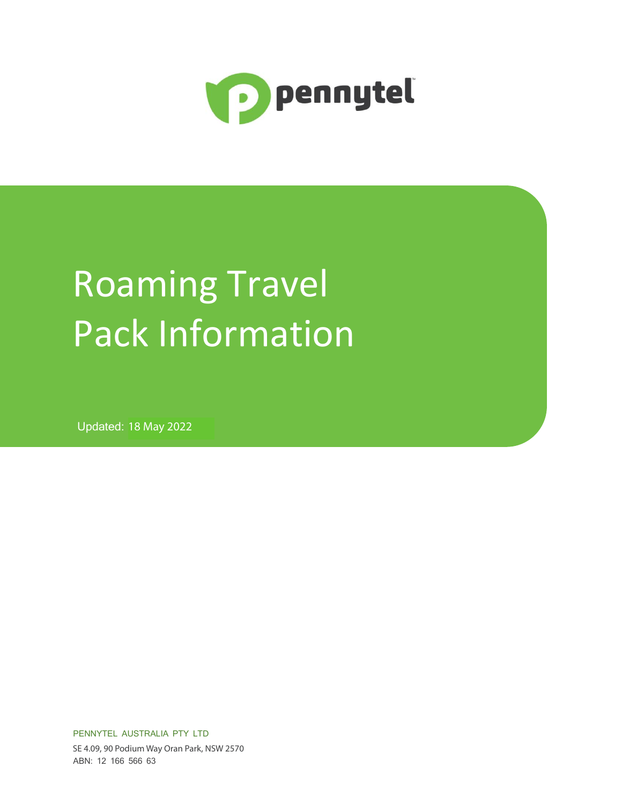

# Roaming Travel Pack Information

**Updated: 18 May 2022** 

PENNYTEL AUSTRALIA PTY LTD SE 4.09, 90 Podium Way Oran Park, NSW 2570 ABN: 12 166 566 63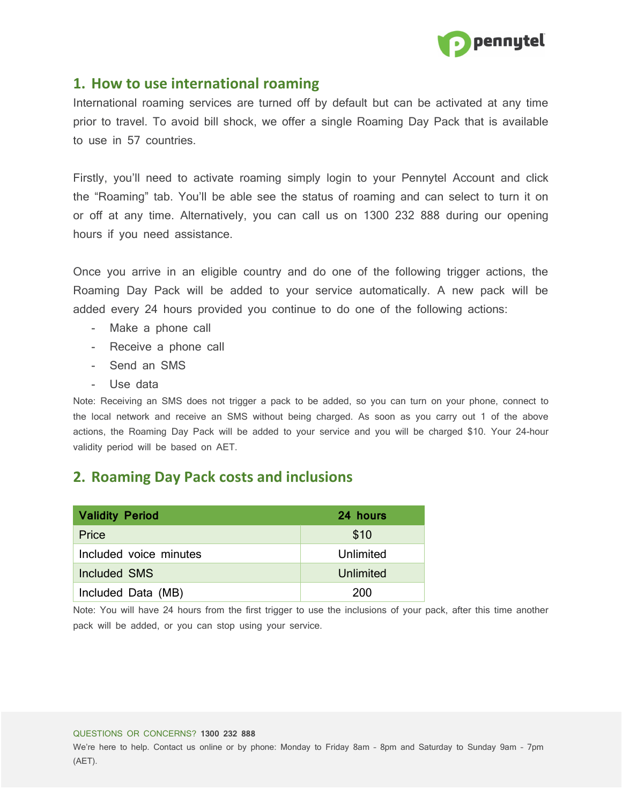

## **1. How to use international roaming**

International roaming services are turned off by default but can be activated at any time prior to travel. To avoid bill shock, we offer a single Roaming Day Pack that is available to use in 57 countries.

Firstly, you'll need to activate roaming simply login to your Pennytel Account and click the "Roaming" tab. You'll be able see the status of roaming and can select to turn it on or off at any time. Alternatively, you can call us on 1300 232 888 during our opening hours if you need assistance.

Once you arrive in an eligible country and do one of the following trigger actions, the Roaming Day Pack will be added to your service automatically. A new pack will be added every 24 hours provided you continue to do one of the following actions:

- Make a phone call
- Receive a phone call
- Send an SMS
- Use data

Note: Receiving an SMS does not trigger a pack to be added, so you can turn on your phone, connect to the local network and receive an SMS without being charged. As soon as you carry out 1 of the above actions, the Roaming Day Pack will be added to your service and you will be charged \$10. Your 24-hour validity period will be based on AET.

## **2. Roaming Day Pack costs and inclusions**

| <b>Validity Period</b> | 24 hours  |
|------------------------|-----------|
| Price                  | \$10      |
| Included voice minutes | Unlimited |
| Included SMS           | Unlimited |
| Included Data (MB)     | 200       |

Note: You will have 24 hours from the first trigger to use the inclusions of your pack, after this time another pack will be added, or you can stop using your service.

#### QUESTIONS OR CONCERNS? **1300 232 888**

We're here to help. Contact us online or by phone: Monday to Friday 8am – 8pm and Saturday to Sunday 9am – 7pm (AET).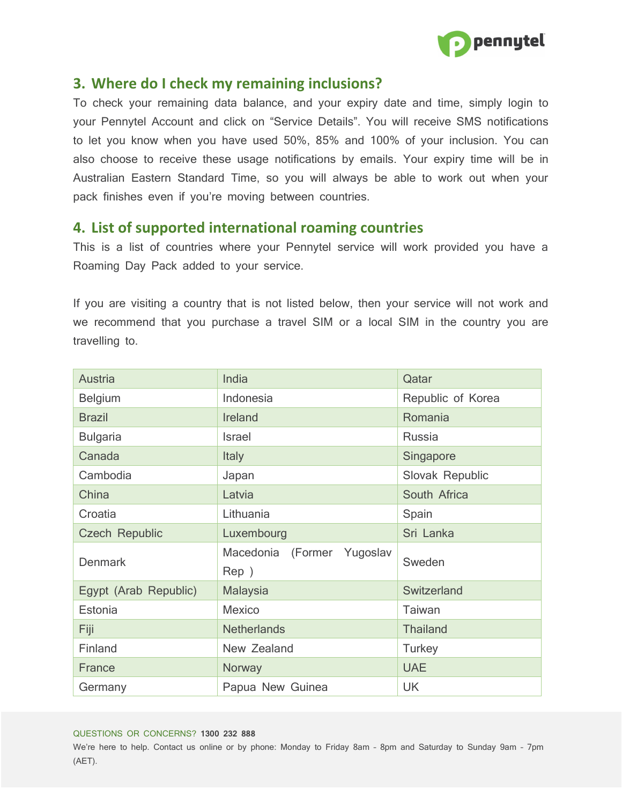

## **3. Where do I check my remaining inclusions?**

To check your remaining data balance, and your expiry date and time, simply login to your Pennytel Account and click on "Service Details". You will receive SMS notifications to let you know when you have used 50%, 85% and 100% of your inclusion. You can also choose to receive these usage notifications by emails. Your expiry time will be in Australian Eastern Standard Time, so you will always be able to work out when your pack finishes even if you're moving between countries.

## **4. List of supported international roaming countries**

This is a list of countries where your Pennytel service will work provided you have a Roaming Day Pack added to your service.

If you are visiting a country that is not listed below, then your service will not work and we recommend that you purchase a travel SIM or a local SIM in the country you are travelling to.

| Austria               | India                      | Qatar             |
|-----------------------|----------------------------|-------------------|
| <b>Belgium</b>        | Indonesia                  | Republic of Korea |
| <b>Brazil</b>         | Ireland                    | Romania           |
| <b>Bulgaria</b>       | <b>Israel</b>              | Russia            |
| Canada                | <b>Italy</b>               | Singapore         |
| Cambodia              | Japan                      | Slovak Republic   |
| China                 | Latvia                     | South Africa      |
| Croatia               | Lithuania                  | Spain             |
| <b>Czech Republic</b> | Luxembourg                 | Sri Lanka         |
| <b>Denmark</b>        | Macedonia (Former Yugoslav | Sweden            |
|                       | Rep )                      |                   |
| Egypt (Arab Republic) | <b>Malaysia</b>            | Switzerland       |
| Estonia               | <b>Mexico</b>              | <b>Taiwan</b>     |
| Fiji                  | <b>Netherlands</b>         | <b>Thailand</b>   |
| Finland               | New Zealand                | <b>Turkey</b>     |
| France                | Norway                     | <b>UAE</b>        |
| Germany               | Papua New Guinea           | <b>UK</b>         |

#### QUESTIONS OR CONCERNS? **1300 232 888**

We're here to help. Contact us online or by phone: Monday to Friday 8am – 8pm and Saturday to Sunday 9am – 7pm (AET).